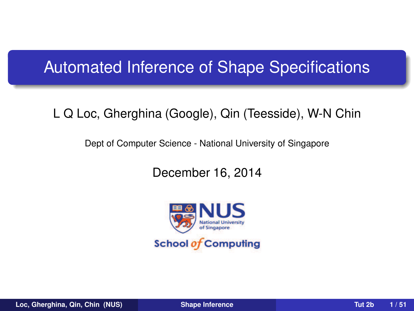### Automated Inference of Shape Specifications

#### L Q Loc, Gherghina (Google), Qin (Teesside), W-N Chin

Dept of Computer Science - National University of Singapore

December 16, 2014

<span id="page-0-0"></span>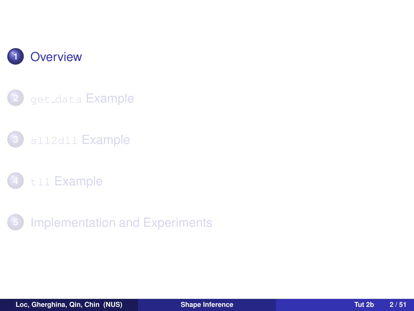

- get\_data [Example](#page-10-0)
- sll2dll [Example](#page-19-0)
- tll [Example](#page-36-0)
- <span id="page-1-0"></span>[Implementation and Experiments](#page-45-0)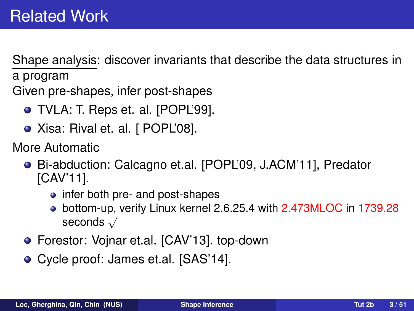Shape analysis: discover invariants that describe the data structures in a program

Given pre-shapes, infer post-shapes

- TVLA: T. Reps et. al. [POPL'99].
- Xisa: Rival et. al. [ POPL'08].

More Automatic

- Bi-abduction: Calcagno et.al. [POPL'09, J.ACM'11], Predator [CAV'11].
	- infer both pre- and post-shapes
	- bottom-up, verify Linux kernel 2.6.25.4 with 2.473MLOC in 1739.28 seconds √
- Forestor: Vojnar et.al. [CAV'13]. top-down
- Cycle proof: James et.al. [SAS'14].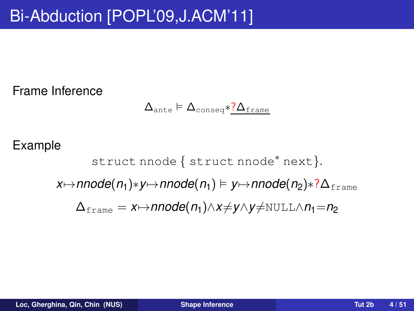Frame Inference

$$
\Delta_{\text{ante}} \vDash \Delta_{\text{conseq}} {\text{*}}\underline{?} \Delta_{\text{frame}}
$$

#### Example

struct nnode { struct nnode<sup>\*</sup> next }. *x* $\mapsto$ *nnode*(*n*<sub>1</sub>)∗*y* $\mapsto$ *nnode*(*n*<sub>1</sub>)  $\models$  *y* $\mapsto$ *nnode*(*n*<sub>2</sub>)∗?∆<sub>frame</sub>  $\Delta_{\text{frame}} = x \mapsto$ **nnode**( $n_1$ )∧*x*≠*y*∧*y*≠NULL∧ $n_1$ = $n_2$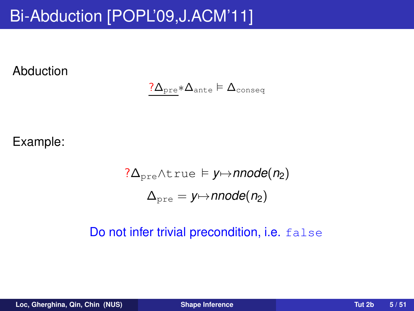Abduction

$$
\underline{? \Delta_{\text{pre}} * \Delta_{\text{ante}}} \models \Delta_{\text{conseq}}
$$

Example:

$$
\begin{aligned} ?\Delta_\text{pre} \wedge \text{true} &\models y \mapsto \text{nnode}(n_2) \\ \Delta_\text{pre} &= y \mapsto \text{nnode}(n_2) \end{aligned}
$$

#### Do not infer trivial precondition, i.e. false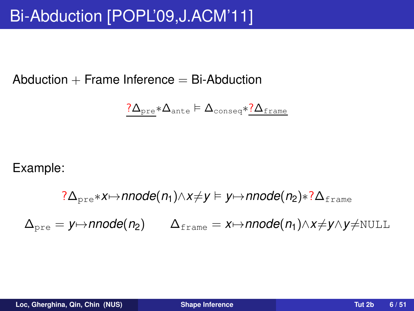Abduction  $+$  Frame Inference  $=$  Bi-Abduction

$$
\underline{? \Delta_\text{pre}}*\Delta_\text{ante} \vDash \Delta_\text{conseq}*\underline{? \Delta_\text{frame}}
$$

Example:

$$
?\Delta_{pre} * x \mapsto \text{nnode}(n_1) \land x \neq y \mapsto \text{nnode}(n_2) * ? \Delta_{frame}
$$

$$
\Delta_{pre} = y \mapsto \text{nnode}(n_2) \qquad \Delta_{frame} = x \mapsto \text{nnode}(n_1) \land x \neq y \land y \neq \text{NULL}
$$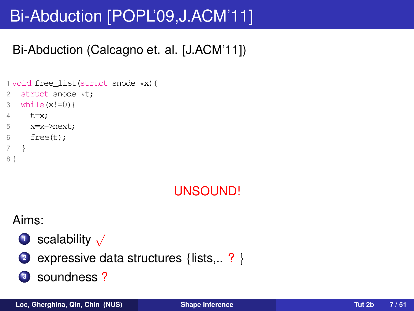# Bi-Abduction [POPL'09,J.ACM'11]

### Bi-Abduction (Calcagno et. al. [J.ACM'11])

```
1 void free_list(struct snode *x){
2 struct snode *t;
3 while(x!=0)4 t=x;
5 x=x->next;
6 free(t):
7 }
8 }
```
### UNSOUND!

#### Aims:



expressive data structures {lists,.. ? }

### soundness ?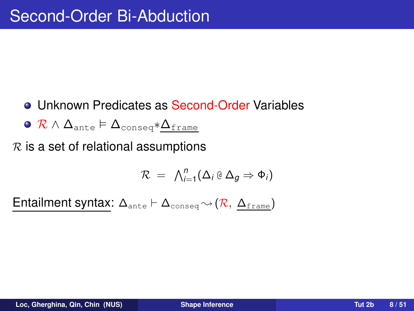- Unknown Predicates as Second-Order Variables
- $\circ$  R  $\wedge$   $\Delta$ <sub>ante</sub>  $\models$   $\Delta$ <sub>conseq</sub>\* $\Delta$ <sub>frame</sub>

 $R$  is a set of relational assumptions

$$
\mathcal{R} = \bigwedge_{i=1}^n (\Delta_i \oplus \Delta_g \Rightarrow \Phi_i)
$$

Entailment syntax:  $\Delta_{\text{ante}} \vdash \Delta_{\text{conseq}} \rightsquigarrow (\mathcal{R}, \Delta_{\text{frame}})$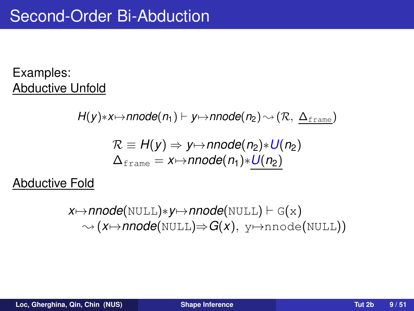#### Examples: Abductive Unfold

$$
H(y)*x \mapsto \text{nnode}(n_1) \vdash y \mapsto \text{nnode}(n_2) \rightsquigarrow (\mathcal{R}, \ \underline{\Delta_{\text{frame}}})
$$
\n
$$
\mathcal{R} \equiv H(y) \Rightarrow y \mapsto \text{nnode}(n_2) * U(n_2)
$$
\n
$$
\Delta_{\text{frame}} = x \mapsto \text{nnode}(n_1) * \underline{U(n_2)}
$$

Abductive Fold

$$
x \mapsto \mathsf{nnode}(\texttt{NULL}) \ast y \mapsto \mathsf{nnode}(\texttt{NULL}) \vdash G(x) \\ \sim (x \mapsto \mathsf{nnode}(\texttt{NULL}) \Rightarrow G(x), y \mapsto \texttt{nnode}(\texttt{NULL}))
$$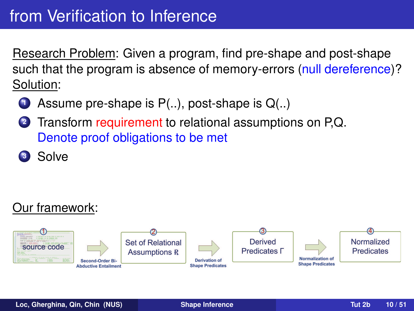Research Problem: Given a program, find pre-shape and post-shape such that the program is absence of memory-errors (null dereference)? Solution:

- **<sup>1</sup>** Assume pre-shape is P(..), post-shape is Q(..)
- **<sup>2</sup>** Transform requirement to relational assumptions on P,Q. Denote proof obligations to be met
- **<sup>3</sup>** Solve

### Our framework:

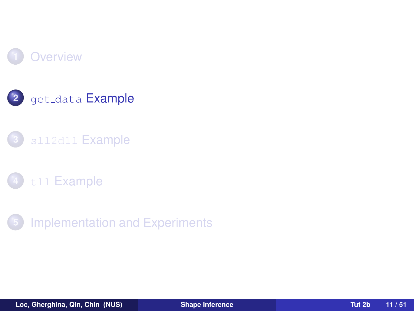



### sll2dll [Example](#page-19-0)



<span id="page-10-0"></span>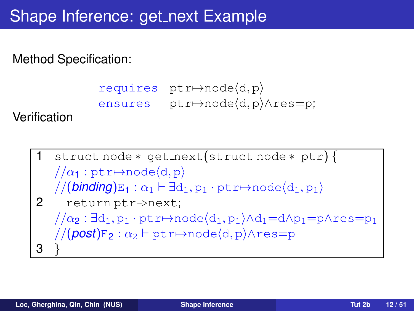```
requires ptr \mapsto node(d, p)ensures ptr→node(d, p) ∧res=p;
```
Verification

struct node \* get next(struct node \* ptr) {  $1/\alpha_1$ : ptr $\mapsto$ node $\langle d, p \rangle$  $//(binding)E_1: \alpha_1 \vdash \exists d_1, p_1 \cdot ptr \mapsto node\langle d_1, p_1 \rangle$ 2 return ptr->next;  $1/\alpha_2$ :  $\exists d_1, p_1 \cdot ptr \mapsto node\langle d_1, p_1 \rangle \wedge d_1=d\Lambda p_1=p\Lambda res=p_1$  $//(post)E_2 : \alpha_2 \vdash ptr \mapsto node\langle d, p \rangle \wedge res=p$ 3 }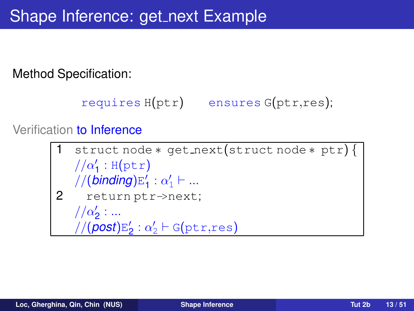```
requires H(ptr) ensures G(ptr,res);
```
#### Verification to Inference

```
1 struct node ∗ get next(struct node ∗ ptr) {
    1/\alpha'_1: H(ptr)
    //(binding)E
′
                       \frac{1}{1} : \alpha'_1 \vdash ...
2 return ptr->next;
    //\alpha'_{2}:...//(post)E
′
                  \frac{1}{2}: \alpha'_{2} \vdash G(\texttt{ptr},\texttt{res})
```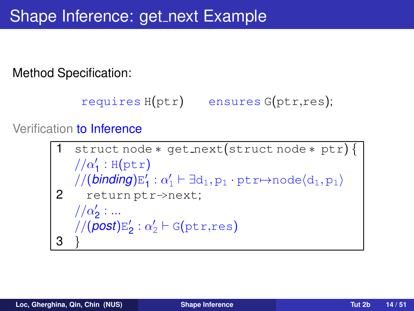```
requires H(ptr) ensures G(ptr,res);
```
#### Verification to Inference

```
struct node * get_next(struct node * ptr) {
     1/\alpha'_1: H(ptr)
     //(binding)E
′
                           \mathcal{L}_1': \alpha_1' \vdash \exists d_1, p_1 \cdot \texttt{ptr} \mapsto \texttt{node} \langle d_1, p_1 \rangle2 return ptr->next;
     //\alpha'_{2}:...//(post)E
′
                      \mathbf{z}'_2: \alpha'_2 \vdash \mathsf{G}(\texttt{ptr},\texttt{res})3 }
```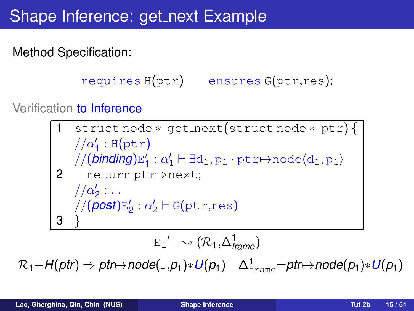### Shape Inference: get\_next Example

Method Specification:

```
requires H(ptr) ensures G(ptr,res);
```
Verification to Inference

struct node \* get\_next(struct node \* ptr) {  $1/\alpha'_1$ : H(ptr) //(*binding*)E ′  $\mathcal{A}_1 : \alpha_1' \vdash \exists d_1, p_1 \cdot \text{ptr} \mapsto \text{node} \langle d_1, p_1 \rangle$ 2 return ptr->next;  $//\alpha'_{2}:...$ //(*post*)E ′  $\mathbf{z}'_2: \alpha'_2 \vdash \mathsf{G}(\texttt{ptr},\texttt{res})$ 3 }  $E_1' \sim (\mathcal{R}_1, \Delta_{\text{frame}}^1)$ 

 $\mathcal{R}_1 \equiv H(ptr) \Rightarrow \text{ptr} \mapsto \text{node}(\_,p_1) * U(p_1) \quad \Delta^1_{\text{frame}} = \text{ptr} \mapsto \text{node}(p_1) * U(p_1)$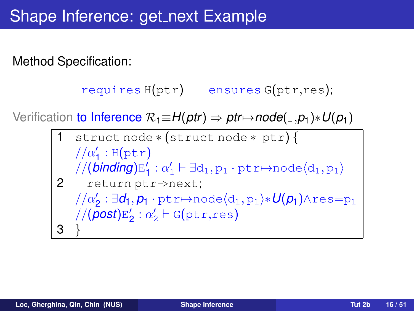```
requires H(ptr) ensures G(ptr,res);
```
Verification to Inference  $\mathcal{R}_1 \equiv H(\rho tr) \Rightarrow \rho tr \mapsto \rho d e(-, \rho_1) * U(\rho_1)$ 

1 struct node ∗ (struct node ∗ ptr) {  $1/\alpha'_1$ : H(ptr) //(*binding*)E ′  $\mathcal{U}_1': \alpha_1' \vdash \exists d_1, p_1 \cdot \text{ptr} \mapsto \text{node} \langle d_1, p_1 \rangle$ 2 return ptr->next; // $\alpha'_2$ :∃*d***<sub>1</sub>,p<sub>1</sub> · ptr**→node $\langle$ d<sub>1</sub>,p<sub>1</sub>}\* $U(p_1)$ ∧res=p<sub>1</sub> //(*post*)E ′  $\frac{1}{2}$  :  $\alpha'_2$  + G(ptr,res) 3 }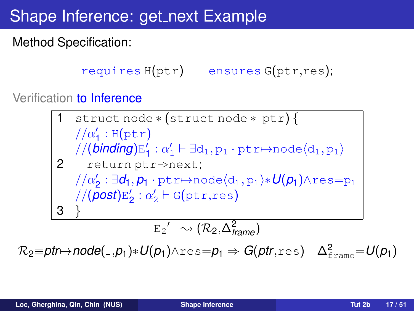### Shape Inference: get\_next Example

Method Specification:

```
requires H(ptr) ensures G(ptr,res);
```
Verification to Inference

1 struct node \* (struct node \* ptr) {\n // 
$$
\alpha'_1
$$
 : H(ptr)\n // (binding)E'\_1 :  $\alpha'_1 \vdash \exists d_1, p_1 \cdot ptr \mapsto \text{node}(d_1, p_1)$ \n2 return ptr  $\rightarrow$ next;\n //  $\alpha'_2$  :  $\exists d_1, p_1 \cdot ptr \mapsto \text{node}(d_1, p_1) * U(p_1) \land res=p_1$ \n // (post)E'\_2 :  $\alpha'_2 \vdash G(ptr,res$ \n3 }\n E'\_2' \sim (R\_2, \Delta^2\_{frame})

 $\mathcal{R}_2$ ≡ $\rho$ tr $\mapsto$ node $(\_,\rho_1)*U(p_1)$ ∧res= $p_1 \Rightarrow G(\rho$ tr,res)  $\Delta^2_{\text{frame}}=U(p_1)$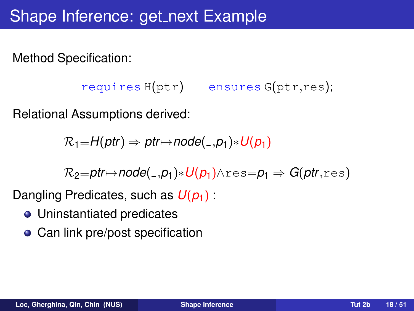```
requires H(ptr) ensures G(ptr,res);
```
Relational Assumptions derived:

 $\mathcal{R}_1 \equiv H(\rho tr) \Rightarrow \rho tr \mapsto \rho det(-\rho_1) * U(\rho_1)$ 

 $R_2 \equiv$ **ptr** $\mapsto$ **node**(...p<sub>1</sub>) $*$ *U***(p<sub>1</sub>)** $\wedge$ res=p<sub>1</sub>  $\Rightarrow$  *G*(ptr.res)

Dangling Predicates, such as  $U(p_1)$ :

- Uninstantiated predicates
- Can link pre/post specification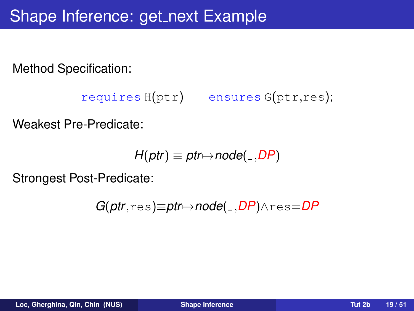```
requires H(ptr) ensures G(ptr,res);
```
Weakest Pre-Predicate:

$$
H(ptr) \equiv \textit{ptr} \mapsto \textit{node}(\_,DP)
$$

Strongest Post-Predicate:

$$
G(ptr, res) \equiv ptr \mapsto node(\_,DP) \land res = DP
$$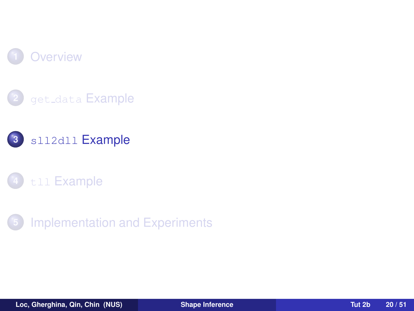







<span id="page-19-0"></span>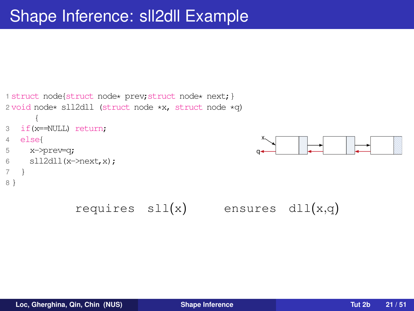```
1 struct node{struct node* prev; struct node* next; }
2 void node* sll2dll (struct node *x, struct node *q)
      {
3 if(x==NULL) return;
4 else{
5 x->prev=q;
6 sll2dl(x-\text{next},x);\overline{7}8 }
               requires \text{sl}(x) ensures \text{dl}(x,q)
```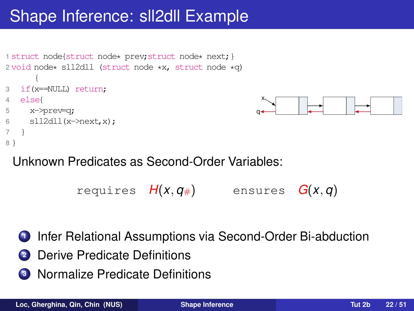

### Unknown Predicates as Second-Order Variables:

```
requires H(x, q_{\#}) ensures G(x, q)
```
- Infer Relational Assumptions via Second-Order Bi-abduction
- Derive Predicate Definitions
- Normalize Predicate Definitions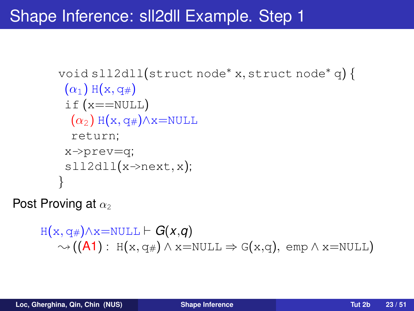```
void sll2dll(struct node∗ x, struct node∗ q) {
 (\alpha_1) H(x, q#)
 if (x == NULL)(\alpha_2) H(x, q_*) \wedge x=NULL
  return;
 x->prev=q;
 sl12d11(x\rightarrow next, x);}
```
Post Proving at  $\alpha_2$ 

```
H(x, q) \wedge x = NULL \vdash G(x,q)\rightsquigarrow ((A1) : H(x, q_{\#}) \wedge x = NULL \Rightarrow G(x,q), \text{ emp} \wedge x = NULL)
```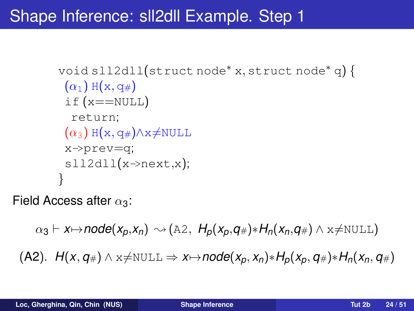```
void sll2dll(struct node∗ x, struct node∗ q) {
 (\alpha_1) H(x, q#)
 if (x == NULL)return;
 (\alpha_3) H(x, q#)\landx\neqNULL
 x->prev=q;
 sl12d11(x \rightarrow next,x);}
```
Field Access after  $\alpha_3$ :

 $\alpha_3 \vdash x \mapsto \text{node}(x_p, x_n) \rightsquigarrow (\text{A2}, H_p(x_p, q_\#)*H_p(x_n, q_\#) \land x \neq \text{NULL})$  $H(X, q) \wedge x \neq \text{NULL} \Rightarrow x \mapsto \text{node}(x_p, x_p) * H_p(x_p, q) * H_n(x_p, q)$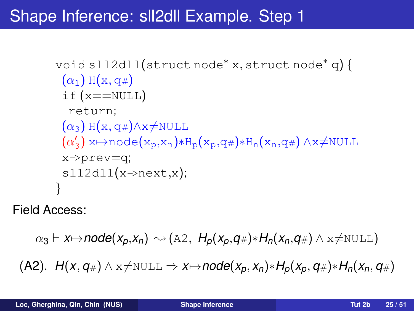```
void sll2dll(struct node∗ x, struct node∗ q) {
 (\alpha_1) H(x, q#)
 if (x == NULL)return;
 (\alpha_3) H(x, q#)\landx\neqNULL
 \mathfrak{\dot{(\alpha')}}\mathcal{X}_3) x\mapstonode(x_p, x_n) * H_p(x_p, q#) * H_n(x_n, q#) \land x \neq \text{NULL}x->prev=q;
 sl12d11(x\rightarrow next,x);}
```
Field Access:

$$
\alpha_3 \vdash x \mapsto \mathsf{node}(x_p, x_n) \rightsquigarrow (\mathbb{A}2, H_p(x_p, q_\#)*H_n(x_n, q_\#) \wedge x \neq \mathbb{NULL})
$$

 $H(X, q) \wedge x \neq \text{NULL} \Rightarrow x \mapsto node(x_p, x_p) * H_p(x_p, q) * H_n(x_p, q)$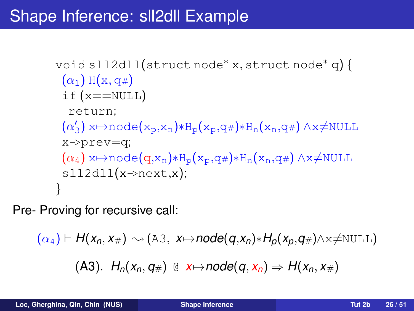```
void sll2dll(struct node∗ x, struct node∗ q) {
 (\alpha_1) H(x, q#)
 if (x == NULL)return;
 (\alpha_2')\mathcal{X}_3) x\mapstonode(x_p,x_n)*H_p(x_p,q#)*H_n(x_n,q#) ∧x≠NULL
 x->prev=q;
 (\alpha_4) x\mapstonode(q,x_n)*H_p(x_p,q#)*H_n(x_n,q#) ∧x≠NULL
 s112d11(x \rightarrow next,x);}
```
Pre- Proving for recursive call:

 $(\alpha_4)$   $\vdash$  *H*( $x_n, x_{\#}$ )  $\rightsquigarrow$  (A3,  $x \mapsto$ *node*( $q, x_n$ ) $\ast$ *H<sub>p</sub>*( $x_p, q_{\#}$ ) $\land$  $x \neq$ NULL)

 $(H_0(X_n, q_\#) \oplus x \mapsto node(q, x_n) \Rightarrow H(x_n, x_\#)$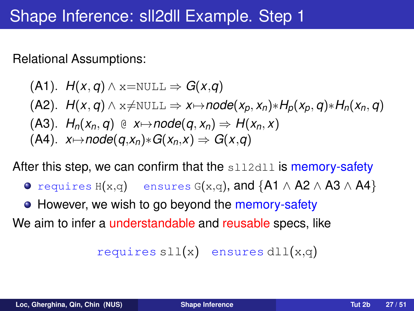Relational Assumptions:

\n- (A1). 
$$
H(x, q) \wedge x = \text{NULL} \Rightarrow G(x, q)
$$
\n- (A2).  $H(x, q) \wedge x \neq \text{NULL} \Rightarrow x \mapsto \text{node}(x_p, x_n) * H_p(x_p, q) * H_n(x_n, q)$
\n- (A3).  $H_n(x_n, q) \oplus x \mapsto \text{node}(q, x_n) \Rightarrow H(x_n, x)$
\n- (A4).  $x \mapsto \text{node}(q, x_n) * G(x_n, x) \Rightarrow G(x, q)$
\n

After this step, we can confirm that the  $s112d11$  is memory-safety

- requires  $H(x,q)$  ensures  $G(x,q)$ , and  $\{A1 \wedge A2 \wedge A3 \wedge A4\}$
- However, we wish to go beyond the memory-safety

We aim to infer a *understandable* and reusable specs, like

requires  $sll(x)$  ensures  $dll(x,q)$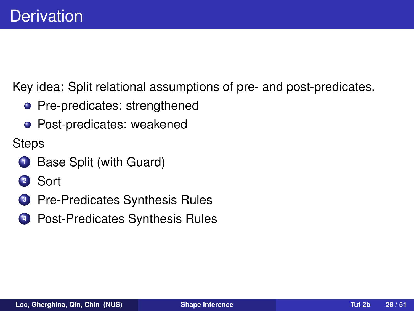Key idea: Split relational assumptions of pre- and post-predicates.

- Pre-predicates: strengthened
- Post-predicates: weakened

**Steps** 

- **<sup>1</sup>** Base Split (with Guard)
- **<sup>2</sup>** Sort
- **<sup>3</sup>** Pre-Predicates Synthesis Rules
- **4** Post-Predicates Synthesis Rules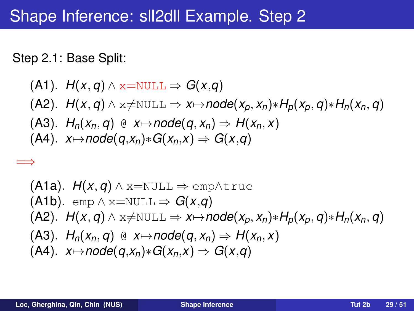Step 2.1: Base Split:

=⇒

\n- (A1). 
$$
H(x, q) \wedge x = \text{NULL} \Rightarrow G(x, q)
$$
\n- (A2).  $H(x, q) \wedge x \neq \text{NULL} \Rightarrow x \mapsto \text{node}(x_p, x_n) * H_p(x_p, q) * H_n(x_n, q)$
\n- (A3).  $H_n(x_n, q) \oplus x \mapsto \text{node}(q, x_n) \Rightarrow H(x_n, x)$
\n- (A4).  $x \mapsto \text{node}(q, x_n) * G(x_n, x) \Rightarrow G(x, q)$
\n

\n- (A1a). 
$$
H(x, q) \wedge x = \text{NULL} \Rightarrow \text{emp} \wedge \text{true}
$$
\n- (A1b).  $\text{emp} \wedge x = \text{NULL} \Rightarrow G(x, q)$
\n- (A2).  $H(x, q) \wedge x \neq \text{NULL} \Rightarrow x \mapsto \text{node}(x_p, x_n) * H_p(x_p, q) * H_n(x_n, q)$
\n- (A3).  $H_n(x_n, q) \oplus x \mapsto \text{node}(q, x_n) \Rightarrow H(x_n, x)$
\n- (A4).  $x \mapsto \text{node}(q, x_n) * G(x_n, x) \Rightarrow G(x, q)$
\n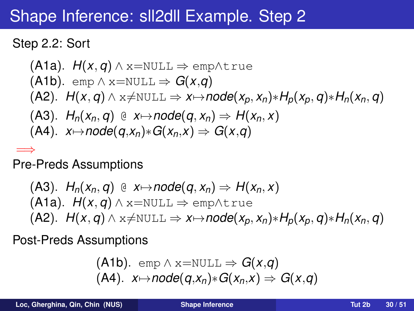#### Step 2.2: Sort

\n- (A1a). 
$$
H(x, q) \wedge x = \text{NULL} \Rightarrow \text{emp} \wedge \text{true}
$$
\n- (A1b).  $\text{emp } \wedge x = \text{NULL} \Rightarrow G(x, q)$
\n- (A2).  $H(x, q) \wedge x \neq \text{NULL} \Rightarrow x \mapsto \text{node}(x_p, x_n) * H_p(x_p, q) * H_n(x_n, q)$
\n- (A3).  $H_n(x_n, q) \oplus x \mapsto \text{node}(q, x_n) \Rightarrow H(x_n, x)$
\n- (A4).  $x \mapsto \text{node}(q, x_n) * G(x_n, x) \Rightarrow G(x, q)$
\n

=⇒ Pre-Preds Assumptions

(A3). 
$$
H_n(x_n, q) \oplus x \mapsto \text{node}(q, x_n) \Rightarrow H(x_n, x)
$$

\n(A1a).  $H(x, q) \land x = \text{NULL} \Rightarrow \text{emp} \land \text{true}$ 

\n(A2).  $H(x, q) \land x \neq \text{NULL} \Rightarrow x \mapsto \text{node}(x_p, x_n) * H_p(x_p, q) * H_n(x_n, q)$ 

Post-Preds Assumptions

(A1b). 
$$
\text{emp} \land x = \text{NULL} \Rightarrow G(x,q)
$$
  
(A4).  $x \mapsto \text{node}(q, x_n) * G(x_n, x) \Rightarrow G(x,q)$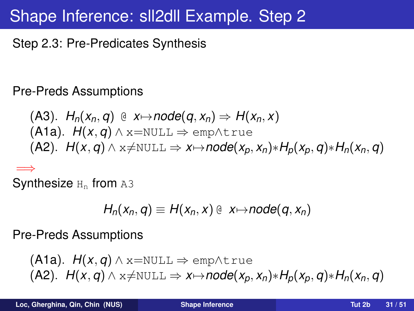Step 2.3: Pre-Predicates Synthesis

Pre-Preds Assumptions

\n- (A3). 
$$
H_n(x_n, q) \oplus x \mapsto node(q, x_n) \Rightarrow H(x_n, x)
$$
\n- (A1a).  $H(x, q) \wedge x = \text{NULL} \Rightarrow \text{emp} \wedge \text{true}$
\n- (A2).  $H(x, q) \wedge x \neq \text{NULL} \Rightarrow x \mapsto node(x_p, x_n) * H_p(x_p, q) * H_n(x_n, q)$
\n

=⇒  $\mathsf{Synthesis}$   $_{\text{H}_{\text{n}}}$  from <code>a3</code>

$$
H_n(x_n,q) \equiv H(x_n,x) \oplus x \mapsto node(q,x_n)
$$

Pre-Preds Assumptions

(A1a). 
$$
H(x, q) \land x = NULL \Rightarrow \text{emp} \land \text{true}
$$
  
(A2).  $H(x, q) \land x \neq NULL \Rightarrow x \mapsto node(x_p, x_n) * H_p(x_p, q) * H_n(x_n, q)$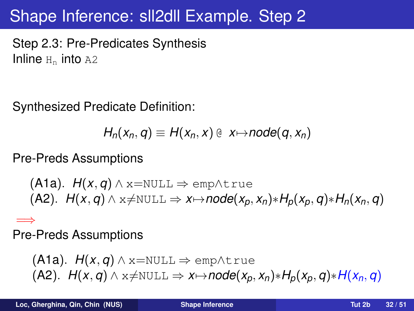Step 2.3: Pre-Predicates Synthesis Inline  $H_n$  into A2

Synthesized Predicate Definition:

$$
H_n(x_n,q)\equiv H(x_n,x)\oplus x\mapsto node(q,x_n)
$$

Pre-Preds Assumptions

(A1a). *H*(*x*, *q*) ∧ x=NULL ⇒ emp∧true  $H(X, q) \wedge x \neq \text{NULL} \Rightarrow x \mapsto node(x_p, x_p) * H_p(x_p, q) * H_p(x_p, q)$ 

=⇒ Pre-Preds Assumptions

$$
\begin{array}{l} \text{(A1a). } H(x,q) \wedge x = \text{NULL} \Rightarrow \text{emp} \wedge \text{true} \\ \text{(A2). } H(x,q) \wedge x \neq \text{NULL} \Rightarrow x \mapsto \text{node}(x_p, x_n) * H_p(x_p, q) * H(x_n, q) \end{array}
$$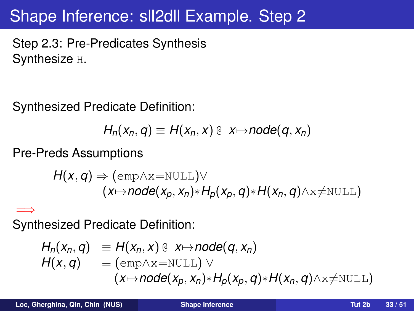Step 2.3: Pre-Predicates Synthesis Synthesize H.

Synthesized Predicate Definition:

$$
H_n(x_n,q) \equiv H(x_n,x) \oplus x \mapsto node(q,x_n)
$$

Pre-Preds Assumptions

$$
H(x,q) \Rightarrow (\text{emp} \land x = \text{NULL}) \lor (x \mapsto node(x_p, x_n) * H_p(x_p, q) * H(x_n, q) \land x \neq \text{NULL})
$$

=⇒ Synthesized Predicate Definition:

$$
H_n(x_n, q) \equiv H(x_n, x) \oplus x \mapsto node(q, x_n)
$$
  
\n
$$
H(x, q) \equiv (emp \wedge x = NULL) \vee (x \mapsto node(x_p, x_n) * H_p(x_p, q) * H(x_n, q) \wedge x \neq NULL)
$$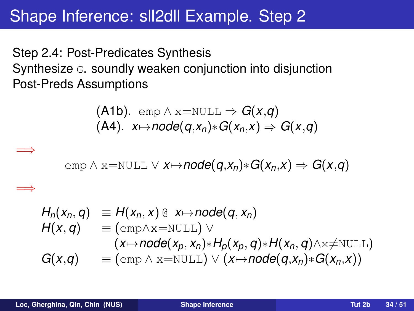Step 2.4: Post-Predicates Synthesis Synthesize G. soundly weaken conjunction into disjunction Post-Preds Assumptions

$$
\begin{array}{ll}\n\text{(A1b). } \text{emp} \land x = \text{NULL} \Rightarrow G(x,q) \\
\text{(A4). } x \mapsto node(q, x_n) * G(x_n, x) \Rightarrow G(x,q)\n\end{array}
$$

$$
emp \land x = NULL \lor x \rightarrow node(q, x_n) * G(x_n, x) \Rightarrow G(x, q)
$$

$$
H_n(x_n, q) \equiv H(x_n, x) \& x \mapsto node(q, x_n)
$$
\n
$$
H(x, q) \equiv (\text{emp} \wedge x = \text{NULL}) \vee
$$
\n
$$
(x \mapsto node(x_p, x_n) * H_p(x_p, q) * H(x_n, q) \wedge x \neq \text{NULL})
$$
\n
$$
G(x, q) \equiv (\text{emp} \wedge x = \text{NULL}) \vee (x \mapsto node(q, x_n) * G(x_n, x))
$$

=⇒

=⇒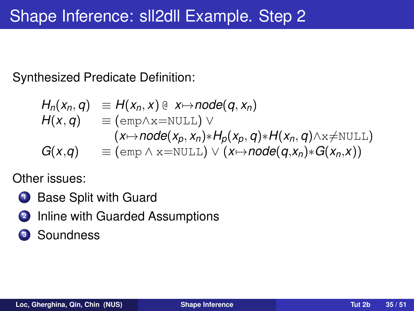Synthesized Predicate Definition:

$$
H_n(x_n, q) \equiv H(x_n, x) @ x \mapsto node(q, x_n) \nH(x, q) \equiv (emp \wedge x = NULL) \vee \n(x \mapsto node(x_p, x_n) * H_p(x_p, q) * H(x_n, q) \wedge x \neq NULL) \nG(x,q) \equiv (emp \wedge x = NULL) \vee (x \mapsto node(q, x_n) * G(x_n, x))
$$

Other issues:

- **1** Base Split with Guard
- **2** Inline with Guarded Assumptions
- **<sup>3</sup>** Soundness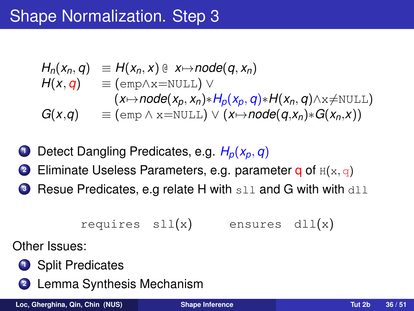$$
H_n(x_n, q) \equiv H(x_n, x) @ x \mapsto node(q, x_n)
$$
  
\n
$$
H(x, q) \equiv (emp \wedge x = NULL) \vee
$$
  
\n
$$
G(x,q) \equiv (emp \wedge x = NULL) \vee (x \mapsto node(q, x_n) * H(x_n, q) \wedge x \neq NULL)
$$
  
\n
$$
G(x,q) \equiv (emp \wedge x = NULL) \vee (x \mapsto node(q, x_n) * G(x_n, x))
$$

- **<sup>1</sup>** Detect Dangling Predicates, e.g. *Hp*(*xp*, *q*)
- **2** Eliminate Useless Parameters, e.g. parameter **q** of  $H(x, q)$
- **3** Resue Predicates, e.g relate H with sll and G with with dll

$$
\texttt{requires } \texttt{sll(x)} \qquad \texttt{ensures } \texttt{dll(x)}
$$

Other Issues:



**<sup>2</sup>** Lemma Synthesis Mechanism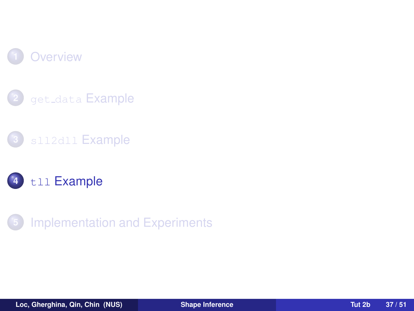







<span id="page-36-0"></span>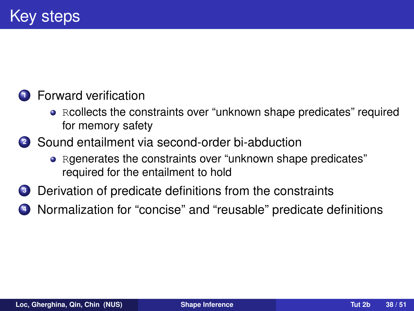#### **1** Forward verification

- Rcollects the constraints over "unknown shape predicates" required for memory safety
- **<sup>2</sup>** Sound entailment via second-order bi-abduction
	- Rgenerates the constraints over "unknown shape predicates" required for the entailment to hold
- **<sup>3</sup>** Derivation of predicate definitions from the constraints
- **<sup>4</sup>** Normalization for "concise" and "reusable" predicate definitions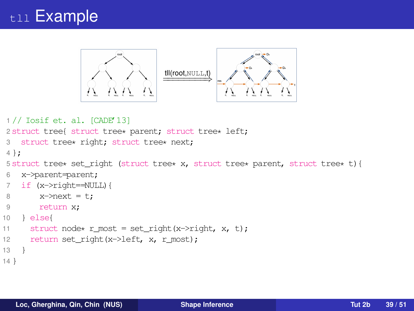### tll Example



```
1 // Iosif et. al. [CADE'13]
2 struct tree{ struct tree* parent; struct tree* left;
3 struct tree* right; struct tree* next;
4 };
5 struct tree* set_right (struct tree* x, struct tree* parent, struct tree* t){
6 x->parent=parent;
7 if (x->right==NULL){
8 \times \text{N} x->next = t;
9 return x;
10 } else{
11 struct node* r_most = set_right(x->right, x, t);
12 return set_right(x->left, x, r_most);
13 }
14 }
```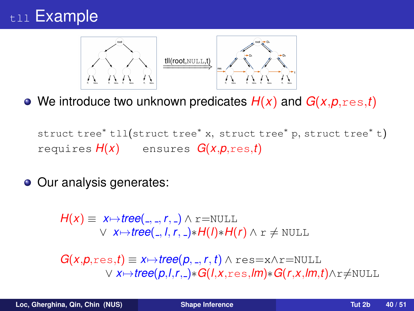### t<sub>11</sub> Example



We introduce two unknown predicates *H*(*x*) and *G*(*x*,*p*,res,*t*)

struct tree<sup>∗</sup> tll(struct tree<sup>∗</sup> <sup>x</sup>, struct tree<sup>∗</sup> <sup>p</sup>, struct tree<sup>∗</sup> <sup>t</sup>) requires *H*(*x*) ensures *G*(*x*,*p*,res,*t*)

**○** Our analysis generates:

 $H(x) \equiv x \mapsto \text{tree}(\_,\_,r,\_) \wedge \text{r} = \text{NULL}$  $\vee$  *x* $\mapsto$ *tree*( , *l*, *r*, )∗*H*(*l*)∗*H*(*r*) ∧ r  $\neq$  NULL

 $G(x,p,res,t) \equiv x \mapsto tree(p, \_, r, t) \wedge res = x \wedge r = NULL$ ∨ *x*7→*tree*(*p*,*l*,*r*, )∗*G*(*l*,*x*,res,*lm*)∗*G*(*r*,*x*,*lm*,*t*)∧r6=NULL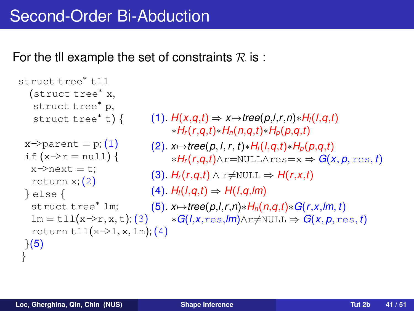For the til example the set of constraints  $\mathcal R$  is :

```
struct tree∗ tll
  (struct tree∗ x,
   struct tree∗ p,
   struct tree∗ t) {
 x \rightarrow parent = p: (1)if (x\rightarrow r = null) {
   x \rightarrow x + y = t;
   return x;(2)
 } else {
   struct tree* lm; (5). x \mapsto \text{tree}(p,l,r,n) * H_n(n,q,t) * G(r,x,lm,t)lm = \text{tl}(x \rightarrow r, x, t);(3) *G(l, x, res, lm) \land r \neq \text{NULL} \Rightarrow G(x, p, res, t)return tll(x\rightarrow l,x,lm);(4)\{5\}}
                                   H(X,q,t) \Rightarrow X \mapsto \text{tree}(p,l,r,n) * H_l(l,q,t)∗Hr(r,q,t)∗Hn(n,q,t)∗Hp(p,q,t)
                                   (2). x7→tree(p, l, r, t)∗Hl(l,q,t)∗Hp(p,q,t)
                                         ∗Hr(r,q,t)∧r=NULL∧res=x ⇒ G(x, p, res, t)
                                   (H_r(r,q,t) \wedge r \neq \text{NULL} \Rightarrow H(r,x,t)(H_1(H_1, q, t) \Rightarrow H(1, q, m)
```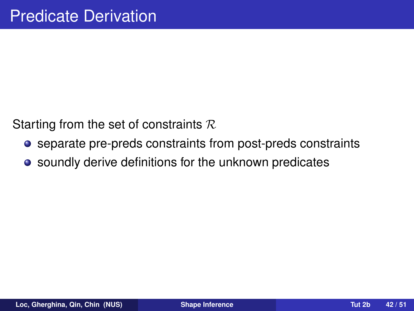Starting from the set of constraints  $R$ 

- separate pre-preds constraints from post-preds constraints
- soundly derive definitions for the unknown predicates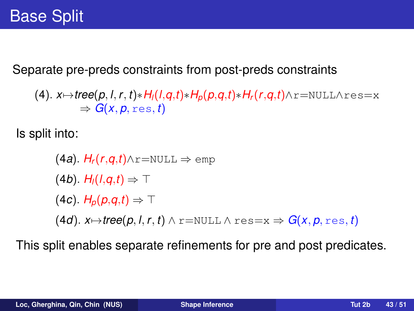Separate pre-preds constraints from post-preds constraints

 $(4)$ .  $x \mapsto tree(p, l, r, t) * H_l(l, q, t) * H_p(p, q, t) * H_r(r, q, t) \wedge r = \text{NULL} \wedge res = x$  $\Rightarrow G(x, p, \text{res}, t)$ 

Is split into:

(4a). 
$$
H_r(r,q,t) \land r = NULL \Rightarrow emp
$$
  
\n(4b).  $H_l(l,q,t) \Rightarrow T$   
\n(4c).  $H_p(p,q,t) \Rightarrow T$   
\n(4d).  $x \mapsto tree(p, l, r, t) \land r = NULL \land res = x \Rightarrow G(x, p, res, t)$ 

This split enables separate refinements for pre and post predicates.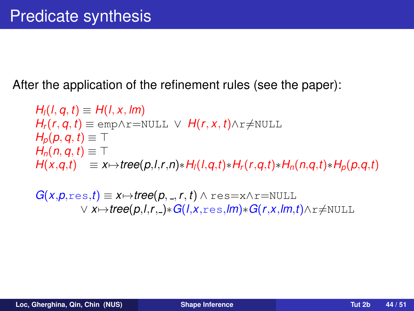After the application of the refinement rules (see the paper):

 $H_1(1, q, t) \equiv H(1, x, lm)$  $H_r(r, q, t) \equiv \text{emp} \land r = \text{NULL} \lor H(r, x, t) \land r \neq \text{NULL}$  $H_p(p, q, t) \equiv \top$  $H_n(n, q, t) \equiv \top$  $H(x,q,t) \equiv x \mapsto tree(p,l,r,n) * H_l(l,q,t) * H_r(r,q,t) * H_n(n,q,t) * H_p(p,q,t)$ 

 $G(x, p, \text{res}, t) \equiv x \mapsto \text{tree}(p, \_, r, t) \wedge \text{res} = x \wedge \text{r} = \text{NULL}$ ∨ *x*7→*tree*(*p*,*l*,*r*, )∗*G*(*l*,*x*,res,*lm*)∗*G*(*r*,*x*,*lm*,*t*)∧r6=NULL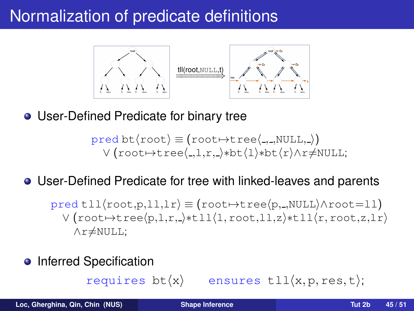### Normalization of predicate definitions



User-Defined Predicate for binary tree

$$
pred bt(root) \equiv (root \rightarrow tree(., ., NULL, .))
$$
  
 
$$
V(root \rightarrow tree(., 1, r, .) * bt(1) * bt(r) \land r \neq NULL;
$$

### User-Defined Predicate for tree with linked-leaves and parents

 $pred$ tll $\langle root, p, l_l, l_r \rangle \equiv (root \rightarrow tree \langle p, \_, NULL \rangle \land root = l_l)$  $V$ (root $\rightarrow$ tree $\langle p,l,r,\_\ast$ tll $\langle l,root,ll,z\rangle$ \*tll $\langle r,root,zlr\rangle$  $\wedge$ r≠NULL;

Inferred Specification

requires  $bt\langle x \rangle$  ensures  $tll\langle x, p, res, t \rangle;$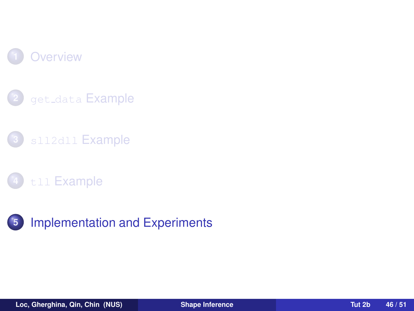







<span id="page-45-0"></span>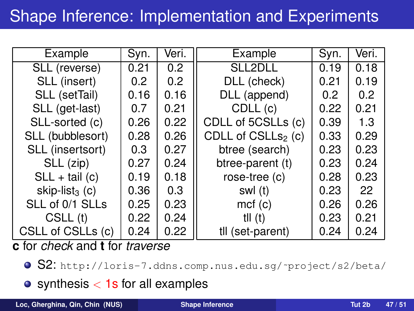# Shape Inference: Implementation and Experiments

| Example                    | Syn.             | Veri. | Example                        | Syn.             | Veri. |
|----------------------------|------------------|-------|--------------------------------|------------------|-------|
| SLL (reverse)              | 0.21             | 0.2   | SLL2DLL                        | 0.19             | 0.18  |
| SLL (insert)               | 0.2 <sub>0</sub> | 0.2   | DLL (check)                    | 0.21             | 0.19  |
| SLL (setTail)              | 0.16             | 0.16  | DLL (append)                   | 0.2 <sub>0</sub> | 0.2   |
| SLL (get-last)             | 0.7              | 0.21  | CDLL (c)                       | 0.22             | 0.21  |
| SLL-sorted (c)             | 0.26             | 0.22  | CDLL of 5CSLLs (c)             | 0.39             | 1.3   |
| SLL (bubblesort)           | 0.28             | 0.26  | CDLL of CSLLs <sub>2</sub> (c) | 0.33             | 0.29  |
| SLL (insertsort)           | 0.3              | 0.27  | btree (search)                 | 0.23             | 0.23  |
| SLL (zip)                  | 0.27             | 0.24  | btree-parent (t)               | 0.23             | 0.24  |
| $SLL + tail(c)$            | 0.19             | 0.18  | rose-tree (c)                  | 0.28             | 0.23  |
| skip-list <sub>3</sub> (c) | 0.36             | 0.3   | swl (t)                        | 0.23             | 22    |
| SLL of 0/1 SLLs            | 0.25             | 0.23  | mcf(c)                         | 0.26             | 0.26  |
| CSLL (t)                   | 0.22             | 0.24  | tll $(t)$                      | 0.23             | 0.21  |
| CSLL of CSLLs (c)          | 0.24             | 0.22  | tll (set-parent)               | 0.24             | 0.24  |

**c** for *check* and **t** for *traverse*

- S2: http://loris-7.ddns.comp.nus.edu.sg/~project/s2/beta/
- $\bullet$  synthesis  $<$  1s for all examples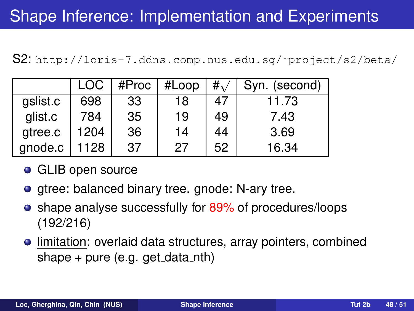S2: [http://loris-7.ddns.comp.nus.edu.sg/˜project/s2/beta/](http://loris-7.ddns.comp.nus.edu.sg/~project/s2/beta/)

|          | LOC  | #Proc | #Loop | $\#$ | Syn. (second) |
|----------|------|-------|-------|------|---------------|
| gslist.c | 698  | 33    | 18    | 47   | 11.73         |
| glist.c  | 784  | 35    | 19    | 49   | 7.43          |
| gtree.c  | 1204 | 36    | 14    | 44   | 3.69          |
| gnode.c  | 1128 | 37    | 27    | 52   | 16.34         |

- **o** GLIB open source
- $\bullet$  gtree: balanced binary tree. gnode: N-ary tree.
- shape analyse successfully for 89% of procedures/loops (192/216)
- **.** limitation: overlaid data structures, array pointers, combined shape  $+$  pure (e.g. get data nth)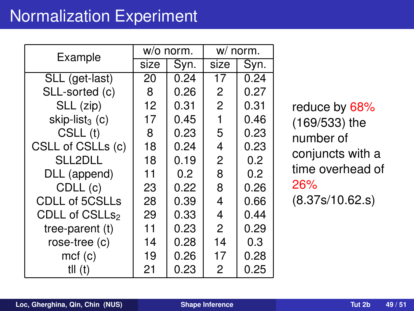# Normalization Experiment

| Example                    |      | w/o norm. | w/ norm.       |      |
|----------------------------|------|-----------|----------------|------|
|                            | size | Syn.      | size           | Syn. |
| SLL (get-last)             | 20   | 0.24      | 17             | 0.24 |
| SLL-sorted (c)             | 8    | 0.26      | 2              | 0.27 |
| SLL (zip)                  | 12   | 0.31      | $\overline{c}$ | 0.31 |
| skip-list <sub>3</sub> (c) | 17   | 0.45      | 1              | 0.46 |
| CSLL (t)                   | 8    | 0.23      | 5              | 0.23 |
| CSLL of CSLLs (c)          | 18   | 0.24      | 4              | 0.23 |
| SLL2DLL                    | 18   | 0.19      | 2              | 0.2  |
| DLL (append)               | 11   | 0.2       | 8              | 0.2  |
| CDLL (c)                   | 23   | 0.22      | 8              | 0.26 |
| <b>CDLL of 5CSLLs</b>      | 28   | 0.39      | 4              | 0.66 |
| CDLL of CSLLs <sub>2</sub> | 29   | 0.33      | 4              | 0.44 |
| tree-parent (t)            | 11   | 0.23      | 2              | 0.29 |
| rose-tree (c)              | 14   | 0.28      | 14             | 0.3  |
| mcf(c)                     | 19   | 0.26      | 17             | 0.28 |
| til (t)                    | 21   | 0.23      | 2              | 0.25 |

reduce by 68% (169/533) the number of conjuncts with a time overhead of 26%

(8.37s/10.62.s)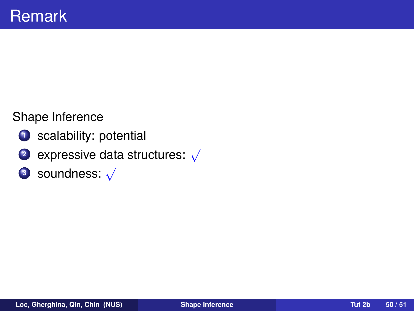#### Shape Inference

- **<sup>1</sup>** scalability: potential
- **<sup>2</sup>** expressive data structures: √
- **<sup>3</sup>** soundness: √